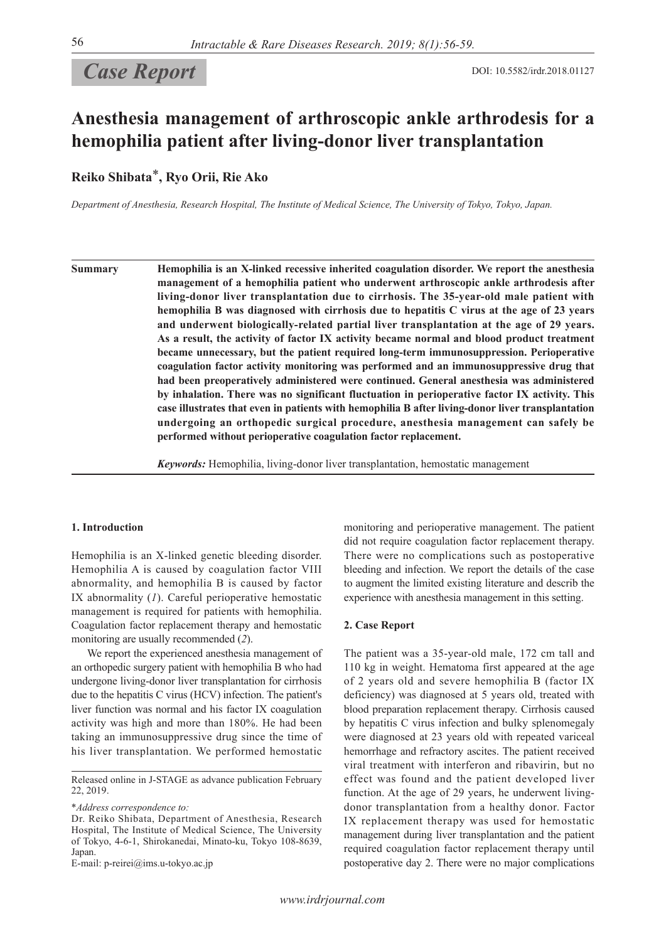# **Case Report** DOI: 10.5582/irdr.2018.01127

# **Anesthesia management of arthroscopic ankle arthrodesis for a hemophilia patient after living-donor liver transplantation**

**Reiko Shibata**\***, Ryo Orii, Rie Ako**

*Department of Anesthesia, Research Hospital, The Institute of Medical Science, The University of Tokyo, Tokyo, Japan.*

**Summary Hemophilia is an X-linked recessive inherited coagulation disorder. We report the anesthesia management of a hemophilia patient who underwent arthroscopic ankle arthrodesis after living-donor liver transplantation due to cirrhosis. The 35-year-old male patient with hemophilia B was diagnosed with cirrhosis due to hepatitis C virus at the age of 23 years and underwent biologically-related partial liver transplantation at the age of 29 years. As a result, the activity of factor IX activity became normal and blood product treatment became unnecessary, but the patient required long-term immunosuppression. Perioperative coagulation factor activity monitoring was performed and an immunosuppressive drug that had been preoperatively administered were continued. General anesthesia was administered by inhalation. There was no significant fluctuation in perioperative factor IX activity. This case illustrates that even in patients with hemophilia B after living-donor liver transplantation undergoing an orthopedic surgical procedure, anesthesia management can safely be performed without perioperative coagulation factor replacement.**

*Keywords:* Hemophilia, living-donor liver transplantation, hemostatic management

## **1. Introduction**

Hemophilia is an X-linked genetic bleeding disorder. Hemophilia A is caused by coagulation factor VIII abnormality, and hemophilia B is caused by factor IX abnormality (*1*). Careful perioperative hemostatic management is required for patients with hemophilia. Coagulation factor replacement therapy and hemostatic monitoring are usually recommended (*2*).

We report the experienced anesthesia management of an orthopedic surgery patient with hemophilia B who had undergone living-donor liver transplantation for cirrhosis due to the hepatitis C virus (HCV) infection. The patient's liver function was normal and his factor IX coagulation activity was high and more than 180%. He had been taking an immunosuppressive drug since the time of his liver transplantation. We performed hemostatic

\**Address correspondence to:*

E-mail: p-reirei@ims.u-tokyo.ac.jp

monitoring and perioperative management. The patient did not require coagulation factor replacement therapy. There were no complications such as postoperative bleeding and infection. We report the details of the case to augment the limited existing literature and describ the experience with anesthesia management in this setting.

#### **2. Case Report**

The patient was a 35-year-old male, 172 cm tall and 110 kg in weight. Hematoma first appeared at the age of 2 years old and severe hemophilia B (factor IX deficiency) was diagnosed at 5 years old, treated with blood preparation replacement therapy. Cirrhosis caused by hepatitis C virus infection and bulky splenomegaly were diagnosed at 23 years old with repeated variceal hemorrhage and refractory ascites. The patient received viral treatment with interferon and ribavirin, but no effect was found and the patient developed liver function. At the age of 29 years, he underwent livingdonor transplantation from a healthy donor. Factor IX replacement therapy was used for hemostatic management during liver transplantation and the patient required coagulation factor replacement therapy until postoperative day 2. There were no major complications

Released online in J-STAGE as advance publication February 22, 2019.

Dr. Reiko Shibata, Department of Anesthesia, Research Hospital, The Institute of Medical Science, The University of Tokyo, 4-6-1, Shirokanedai, Minato-ku, Tokyo 108-8639, Japan.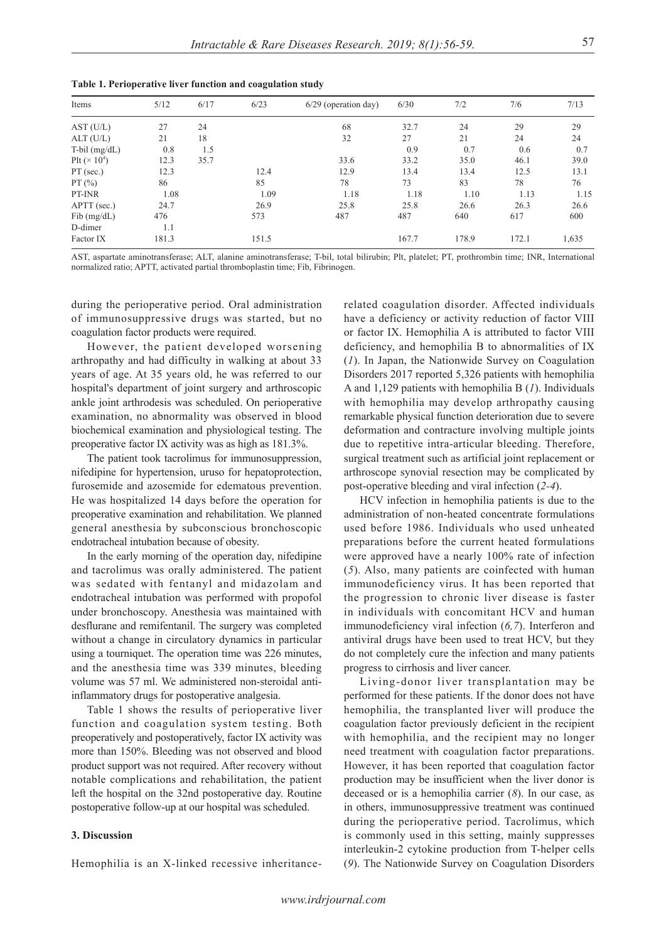| Items                            | 5/12  | 6/17 | 6/23  | 6/29 (operation day) | 6/30  | 7/2   | 7/6   | 7/13  |
|----------------------------------|-------|------|-------|----------------------|-------|-------|-------|-------|
| AST (U/L)                        | 27    | 24   |       | 68                   | 32.7  | 24    | 29    | 29    |
| ALT (U/L)                        | 21    | 18   |       | 32                   | 27    | 21    | 24    | 24    |
| $T$ -bil $(mg/dL)$               | 0.8   | 1.5  |       |                      | 0.9   | 0.7   | 0.6   | 0.7   |
| Plt ( $\times$ 10 <sup>4</sup> ) | 12.3  | 35.7 |       | 33.6                 | 33.2  | 35.0  | 46.1  | 39.0  |
| $PT$ (sec.)                      | 12.3  |      | 12.4  | 12.9                 | 13.4  | 13.4  | 12.5  | 13.1  |
| PT(%)                            | 86    |      | 85    | 78                   | 73    | 83    | 78    | 76    |
| PT-INR                           | 1.08  |      | 1.09  | 1.18                 | 1.18  | 1.10  | 1.13  | 1.15  |
| APTT (sec.)                      | 24.7  |      | 26.9  | 25.8                 | 25.8  | 26.6  | 26.3  | 26.6  |
| $Fib$ (mg/dL)                    | 476   |      | 573   | 487                  | 487   | 640   | 617   | 600   |
| D-dimer                          | 1.1   |      |       |                      |       |       |       |       |
| Factor IX                        | 181.3 |      | 151.5 |                      | 167.7 | 178.9 | 172.1 | 1,635 |

|  | Table 1. Perioperative liver function and coagulation study |  |
|--|-------------------------------------------------------------|--|
|  |                                                             |  |

AST, aspartate aminotransferase; ALT, alanine aminotransferase; T-bil, total bilirubin; Plt, platelet; PT, prothrombin time; INR, International normalized ratio; APTT, activated partial thromboplastin time; Fib, Fibrinogen.

during the perioperative period. Oral administration of immunosuppressive drugs was started, but no coagulation factor products were required.

However, the patient developed worsening arthropathy and had difficulty in walking at about 33 years of age. At 35 years old, he was referred to our hospital's department of joint surgery and arthroscopic ankle joint arthrodesis was scheduled. On perioperative examination, no abnormality was observed in blood biochemical examination and physiological testing. The preoperative factor IX activity was as high as 181.3%.

The patient took tacrolimus for immunosuppression, nifedipine for hypertension, uruso for hepatoprotection, furosemide and azosemide for edematous prevention. He was hospitalized 14 days before the operation for preoperative examination and rehabilitation. We planned general anesthesia by subconscious bronchoscopic endotracheal intubation because of obesity.

In the early morning of the operation day, nifedipine and tacrolimus was orally administered. The patient was sedated with fentanyl and midazolam and endotracheal intubation was performed with propofol under bronchoscopy. Anesthesia was maintained with desflurane and remifentanil. The surgery was completed without a change in circulatory dynamics in particular using a tourniquet. The operation time was 226 minutes, and the anesthesia time was 339 minutes, bleeding volume was 57 ml. We administered non-steroidal antiinflammatory drugs for postoperative analgesia.

Table 1 shows the results of perioperative liver function and coagulation system testing. Both preoperatively and postoperatively, factor IX activity was more than 150%. Bleeding was not observed and blood product support was not required. After recovery without notable complications and rehabilitation, the patient left the hospital on the 32nd postoperative day. Routine postoperative follow-up at our hospital was scheduled.

### **3. Discussion**

Hemophilia is an X-linked recessive inheritance-

related coagulation disorder. Affected individuals have a deficiency or activity reduction of factor VIII or factor IX. Hemophilia A is attributed to factor VIII deficiency, and hemophilia B to abnormalities of IX (*1*). In Japan, the Nationwide Survey on Coagulation Disorders 2017 reported 5,326 patients with hemophilia A and 1,129 patients with hemophilia B (*1*). Individuals with hemophilia may develop arthropathy causing remarkable physical function deterioration due to severe deformation and contracture involving multiple joints due to repetitive intra-articular bleeding. Therefore, surgical treatment such as artificial joint replacement or arthroscope synovial resection may be complicated by post-operative bleeding and viral infection (*2-4*).

HCV infection in hemophilia patients is due to the administration of non-heated concentrate formulations used before 1986. Individuals who used unheated preparations before the current heated formulations were approved have a nearly 100% rate of infection (*5*). Also, many patients are coinfected with human immunodeficiency virus. It has been reported that the progression to chronic liver disease is faster in individuals with concomitant HCV and human immunodeficiency viral infection (*6,7*). Interferon and antiviral drugs have been used to treat HCV, but they do not completely cure the infection and many patients progress to cirrhosis and liver cancer.

Living-donor liver transplantation may be performed for these patients. If the donor does not have hemophilia, the transplanted liver will produce the coagulation factor previously deficient in the recipient with hemophilia, and the recipient may no longer need treatment with coagulation factor preparations. However, it has been reported that coagulation factor production may be insufficient when the liver donor is deceased or is a hemophilia carrier (*8*). In our case, as in others, immunosuppressive treatment was continued during the perioperative period. Tacrolimus, which is commonly used in this setting, mainly suppresses interleukin-2 cytokine production from T-helper cells (*9*). The Nationwide Survey on Coagulation Disorders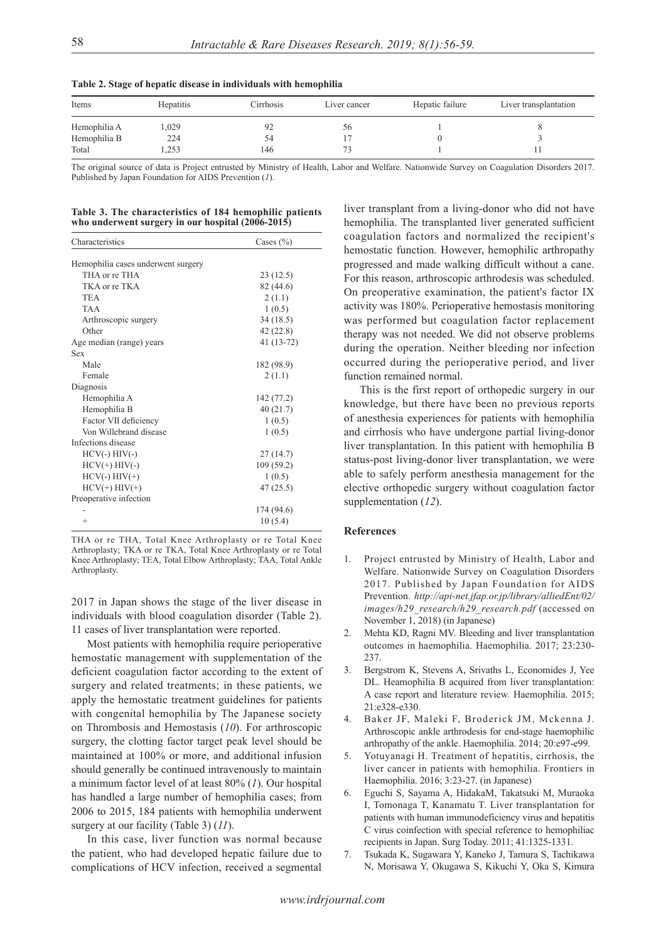| Items        | Hepatitis | Cirrhosis | Liver cancer | Hepatic failure | Liver transplantation |
|--------------|-----------|-----------|--------------|-----------------|-----------------------|
| Hemophilia A | .029      | 92        | DО.          |                 |                       |
| Hemophilia B | 224       | 54        |              |                 |                       |
| Total        | ,253      | 146       |              |                 |                       |

**Table 2. Stage of hepatic disease in individuals with hemophilia**

The original source of data is Project entrusted by Ministry of Health, Labor and Welfare. Nationwide Survey on Coagulation Disorders 2017. Published by Japan Foundation for AIDS Prevention (*1*).

|  |  | Table 3. The characteristics of 184 hemophilic patients |  |
|--|--|---------------------------------------------------------|--|
|  |  | who underwent surgery in our hospital (2006-2015)       |  |

| Characteristics                    | Cases $(\% )$ |  |  |
|------------------------------------|---------------|--|--|
|                                    |               |  |  |
| Hemophilia cases underwent surgery |               |  |  |
| THA or re THA                      | 23(12.5)      |  |  |
| TKA or re TKA                      | 82 (44.6)     |  |  |
| <b>TEA</b>                         | 2(1.1)        |  |  |
| <b>TAA</b>                         | 1(0.5)        |  |  |
| Arthroscopic surgery               | 34(18.5)      |  |  |
| Other                              | 42(22.8)      |  |  |
| Age median (range) years           | 41 (13-72)    |  |  |
| <b>Sex</b>                         |               |  |  |
| Male                               | 182 (98.9)    |  |  |
| Female                             | 2(1.1)        |  |  |
| Diagnosis                          |               |  |  |
| Hemophilia A                       | 142 (77.2)    |  |  |
| Hemophilia B                       | 40(21.7)      |  |  |
| Factor VII deficiency              | 1(0.5)        |  |  |
| Von Willebrand disease             | 1(0.5)        |  |  |
| Infections disease                 |               |  |  |
| $HCV(-) HIV(-)$                    | 27(14.7)      |  |  |
| $HCV(+) HIV(-)$                    | 109 (59.2)    |  |  |
| $HCV(-) HIV(+)$                    | 1(0.5)        |  |  |
| $HCV(+) HIV(+)$                    | 47(25.5)      |  |  |
| Preoperative infection             |               |  |  |
|                                    | 174 (94.6)    |  |  |
| $^{+}$                             | 10(5.4)       |  |  |
|                                    |               |  |  |

THA or re THA, Total Knee Arthroplasty or re Total Knee Arthroplasty; TKA or re TKA, Total Knee Arthroplasty or re Total Knee Arthroplasty; TEA, Total Elbow Arthroplasty; TAA, Total Ankle Arthroplasty.

2017 in Japan shows the stage of the liver disease in individuals with blood coagulation disorder (Table 2). 11 cases of liver transplantation were reported.

Most patients with hemophilia require perioperative hemostatic management with supplementation of the deficient coagulation factor according to the extent of surgery and related treatments; in these patients, we apply the hemostatic treatment guidelines for patients with congenital hemophilia by The Japanese society on Thrombosis and Hemostasis (*10*). For arthroscopic surgery, the clotting factor target peak level should be maintained at 100% or more, and additional infusion should generally be continued intravenously to maintain a minimum factor level of at least 80% (*1*). Our hospital has handled a large number of hemophilia cases; from 2006 to 2015, 184 patients with hemophilia underwent surgery at our facility (Table 3) (*11*).

In this case, liver function was normal because the patient, who had developed hepatic failure due to complications of HCV infection, received a segmental liver transplant from a living-donor who did not have hemophilia. The transplanted liver generated sufficient coagulation factors and normalized the recipient's hemostatic function. However, hemophilic arthropathy progressed and made walking difficult without a cane. For this reason, arthroscopic arthrodesis was scheduled. On preoperative examination, the patient's factor IX activity was 180%. Perioperative hemostasis monitoring was performed but coagulation factor replacement therapy was not needed. We did not observe problems during the operation. Neither bleeding nor infection occurred during the perioperative period, and liver function remained normal.

This is the first report of orthopedic surgery in our knowledge, but there have been no previous reports of anesthesia experiences for patients with hemophilia and cirrhosis who have undergone partial living-donor liver transplantation. In this patient with hemophilia B status-post living-donor liver transplantation, we were able to safely perform anesthesia management for the elective orthopedic surgery without coagulation factor supplementation (*12*).

#### **References**

- 1. Project entrusted by Ministry of Health, Labor and Welfare. Nationwide Survey on Coagulation Disorders 2017. Published by Japan Foundation for AIDS Prevention. *http://api-net.jfap.or.jp/library/alliedEnt/02/ images/h29\_research/h29\_research.pdf* (accessed on November 1, 2018) (in Japanese)
- 2. Mehta KD, Ragni MV. Bleeding and liver transplantation outcomes in haemophilia. Haemophilia. 2017; 23:230- 237.
- 3. Bergstrom K, Stevens A, Srivaths L, Economides J, Yee DL. Heamophilia B acquired from liver transplantation: A case report and literature review. Haemophilia. 2015; 21:e328-e330.
- 4. Baker JF, Maleki F, Broderick JM, Mckenna J. Arthroscopic ankle arthrodesis for end-stage haemophilic arthropathy of the ankle. Haemophilia. 2014; 20:e97-e99.
- 5. Yotuyanagi H. Treatment of hepatitis, cirrhosis, the liver cancer in patients with hemophilia. Frontiers in Haemophilia. 2016; 3:23-27. (in Japanese)
- 6. Eguchi S, Sayama A, HidakaM, Takatsuki M, Muraoka I, Tomonaga T, Kanamatu T. Liver transplantation for patients with human immunodeficiency virus and hepatitis C virus coinfection with special reference to hemophiliac recipients in Japan. Surg Today. 2011; 41:1325-1331.
- 7. Tsukada K, Sugawara Y, Kaneko J, Tamura S, Tachikawa N, Morisawa Y, Okugawa S, Kikuchi Y, Oka S, Kimura